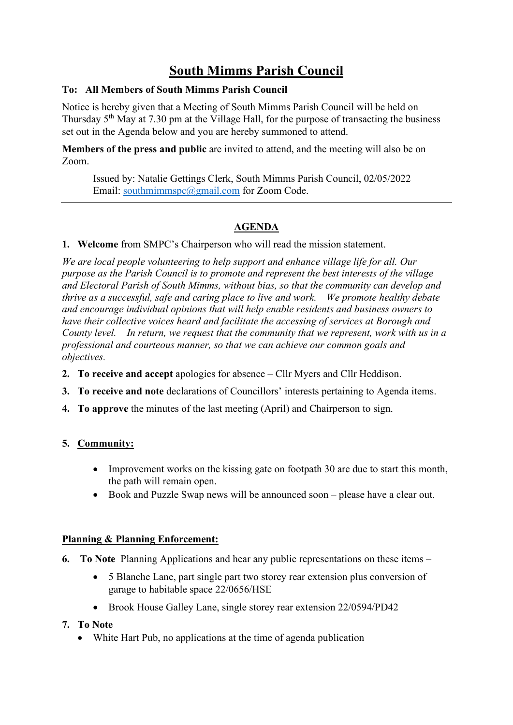# **South Mimms Parish Council**

### **To: All Members of South Mimms Parish Council**

Notice is hereby given that a Meeting of South Mimms Parish Council will be held on Thursday 5th May at 7.30 pm at the Village Hall, for the purpose of transacting the business set out in the Agenda below and you are hereby summoned to attend.

**Members of the press and public** are invited to attend, and the meeting will also be on Zoom.

Issued by: Natalie Gettings Clerk, South Mimms Parish Council, 02/05/2022 Email: [southmimmspc@gmail.com](mailto:southmimmspc@gmail.com) for Zoom Code.

# **AGENDA**

**1. Welcome** from SMPC's Chairperson who will read the mission statement.

*We are local people volunteering to help support and enhance village life for all. Our purpose as the Parish Council is to promote and represent the best interests of the village and Electoral Parish of South Mimms, without bias, so that the community can develop and thrive as a successful, safe and caring place to live and work.  We promote healthy debate and encourage individual opinions that will help enable residents and business owners to have their collective voices heard and facilitate the accessing of services at Borough and County level. In return, we request that the community that we represent, work with us in a professional and courteous manner, so that we can achieve our common goals and objectives.*

- **2. To receive and accept** apologies for absence Cllr Myers and Cllr Heddison.
- **3. To receive and note** declarations of Councillors' interests pertaining to Agenda items.
- **4. To approve** the minutes of the last meeting (April) and Chairperson to sign.

## **5. Community:**

- Improvement works on the kissing gate on footpath 30 are due to start this month, the path will remain open.
- Book and Puzzle Swap news will be announced soon please have a clear out.

#### **Planning & Planning Enforcement:**

- **6. To Note** Planning Applications and hear any public representations on these items
	- 5 Blanche Lane, part single part two storey rear extension plus conversion of garage to habitable space 22/0656/HSE
	- Brook House Galley Lane, single storey rear extension 22/0594/PD42
- **7. To Note**
	- White Hart Pub, no applications at the time of agenda publication